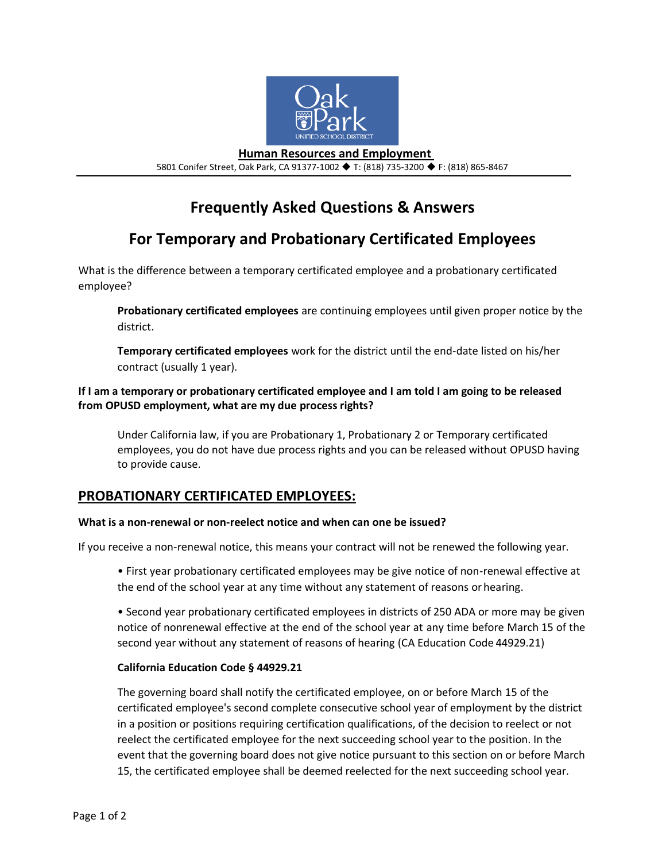

**Human Resources and Employment**  5801 Conifer Street, Oak Park, CA 91377-1002 ◆ T: (818) 735-3200 ◆ F: (818) 865-8467

# **Frequently Asked Questions & Answers**

# **For Temporary and Probationary Certificated Employees**

What is the difference between a temporary certificated employee and a probationary certificated employee?

**Probationary certificated employees** are continuing employees until given proper notice by the district.

**Temporary certificated employees** work for the district until the end-date listed on his/her contract (usually 1 year).

# **If I am a temporary or probationary certificated employee and I am told I am going to be released from OPUSD employment, what are my due process rights?**

Under California law, if you are Probationary 1, Probationary 2 or Temporary certificated employees, you do not have due process rights and you can be released without OPUSD having to provide cause.

# **PROBATIONARY CERTIFICATED EMPLOYEES:**

## **What is a non-renewal or non-reelect notice and when can one be issued?**

If you receive a non-renewal notice, this means your contract will not be renewed the following year.

• First year probationary certificated employees may be give notice of non-renewal effective at the end of the school year at any time without any statement of reasons or hearing.

• Second year probationary certificated employees in districts of 250 ADA or more may be given notice of nonrenewal effective at the end of the school year at any time before March 15 of the second year without any statement of reasons of hearing (CA Education Code 44929.21)

## **California Education Code § 44929.21**

The governing board shall notify the certificated employee, on or before March 15 of the certificated employee's second complete consecutive school year of employment by the district in a position or positions requiring certification qualifications, of the decision to reelect or not reelect the certificated employee for the next succeeding school year to the position. In the event that the governing board does not give notice pursuant to this section on or before March 15, the certificated employee shall be deemed reelected for the next succeeding school year.